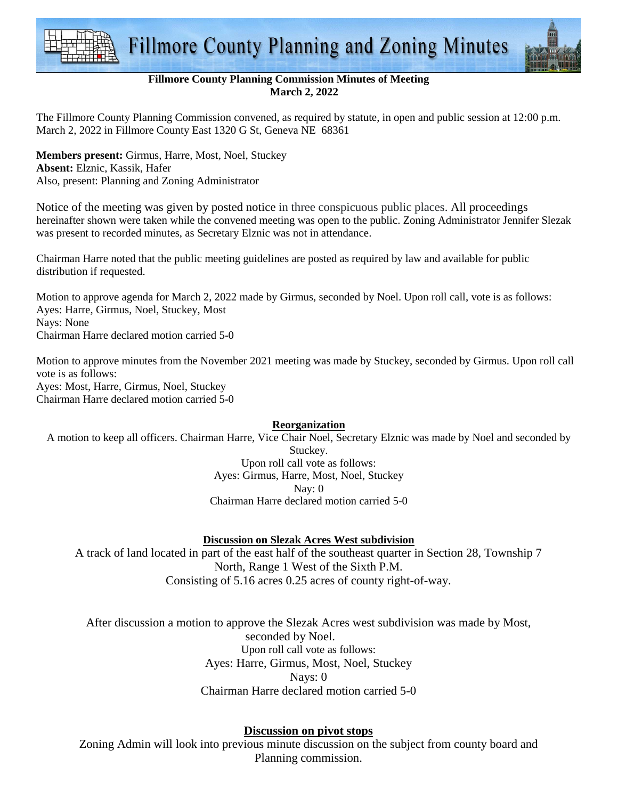



## **Fillmore County Planning Commission Minutes of Meeting March 2, 2022**

The Fillmore County Planning Commission convened, as required by statute, in open and public session at 12:00 p.m. March 2, 2022 in Fillmore County East 1320 G St, Geneva NE 68361

**Members present:** Girmus, Harre, Most, Noel, Stuckey **Absent:** Elznic, Kassik, Hafer Also, present: Planning and Zoning Administrator

Notice of the meeting was given by posted notice in three conspicuous public places. All proceedings hereinafter shown were taken while the convened meeting was open to the public. Zoning Administrator Jennifer Slezak was present to recorded minutes, as Secretary Elznic was not in attendance.

Chairman Harre noted that the public meeting guidelines are posted as required by law and available for public distribution if requested.

Motion to approve agenda for March 2, 2022 made by Girmus, seconded by Noel. Upon roll call, vote is as follows: Ayes: Harre, Girmus, Noel, Stuckey, Most Nays: None Chairman Harre declared motion carried 5-0

Motion to approve minutes from the November 2021 meeting was made by Stuckey, seconded by Girmus. Upon roll call vote is as follows: Ayes: Most, Harre, Girmus, Noel, Stuckey

Chairman Harre declared motion carried 5-0

## **Reorganization**

A motion to keep all officers. Chairman Harre, Vice Chair Noel, Secretary Elznic was made by Noel and seconded by Stuckey.

Upon roll call vote as follows: Ayes: Girmus, Harre, Most, Noel, Stuckey Nay: 0 Chairman Harre declared motion carried 5-0

## **Discussion on Slezak Acres West subdivision**

A track of land located in part of the east half of the southeast quarter in Section 28, Township 7 North, Range 1 West of the Sixth P.M. Consisting of 5.16 acres 0.25 acres of county right-of-way.

After discussion a motion to approve the Slezak Acres west subdivision was made by Most, seconded by Noel. Upon roll call vote as follows: Ayes: Harre, Girmus, Most, Noel, Stuckey Nays: 0 Chairman Harre declared motion carried 5-0

## **Discussion on pivot stops**

Zoning Admin will look into previous minute discussion on the subject from county board and Planning commission.